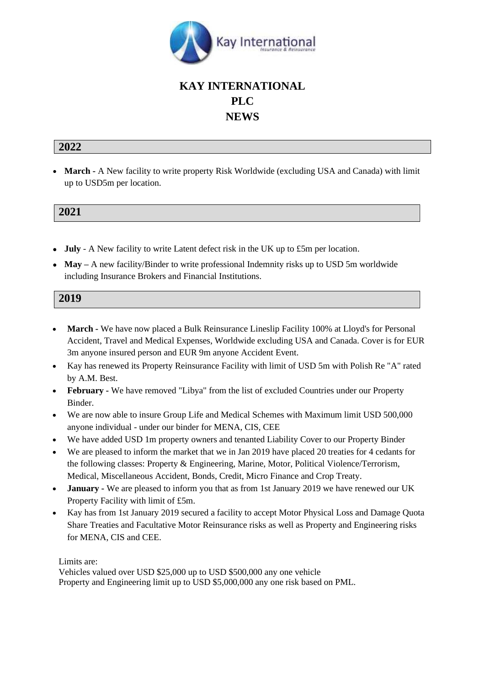

## **KAY INTERNATIONAL PLC NEWS**

## **2022**

• **March -** A New facility to write property Risk Worldwide (excluding USA and Canada) with limit up to USD5m per location.

## **2021**

- **July** A New facility to write Latent defect risk in the UK up to £5m per location.
- **May** A new facility/Binder to write professional Indemnity risks up to USD 5m worldwide including Insurance Brokers and Financial Institutions.

## **2019**

- **March -** We have now placed a Bulk Reinsurance Lineslip Facility 100% at Lloyd's for Personal Accident, Travel and Medical Expenses, Worldwide excluding USA and Canada. Cover is for EUR 3m anyone insured person and EUR 9m anyone Accident Event.
- Kay has renewed its Property Reinsurance Facility with limit of USD 5m with Polish Re "A" rated by A.M. Best.
- **February -** We have removed "Libya" from the list of excluded Countries under our Property Binder.
- We are now able to insure Group Life and Medical Schemes with Maximum limit USD 500,000 anyone individual - under our binder for MENA, CIS, CEE
- We have added USD 1m property owners and tenanted Liability Cover to our Property Binder
- We are pleased to inform the market that we in Jan 2019 have placed 20 treaties for 4 cedants for the following classes: Property & Engineering, Marine, Motor, Political Violence/Terrorism, Medical, Miscellaneous Accident, Bonds, Credit, Micro Finance and Crop Treaty.
- **January -** We are pleased to inform you that as from 1st January 2019 we have renewed our UK Property Facility with limit of £5m.
- Kay has from 1st January 2019 secured a facility to accept Motor Physical Loss and Damage Quota Share Treaties and Facultative Motor Reinsurance risks as well as Property and Engineering risks for MENA, CIS and CEE.

Limits are:

Vehicles valued over USD \$25,000 up to USD \$500,000 any one vehicle Property and Engineering limit up to USD \$5,000,000 any one risk based on PML.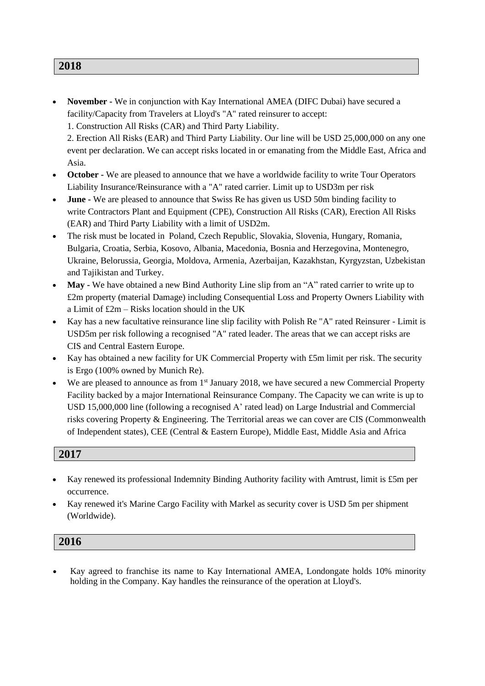• **November -** We in conjunction with Kay International AMEA (DIFC Dubai) have secured a facility/Capacity from Travelers at Lloyd's "A" rated reinsurer to accept: 1. Construction All Risks (CAR) and Third Party Liability.

2. Erection All Risks (EAR) and Third Party Liability. Our line will be USD 25,000,000 on any one event per declaration. We can accept risks located in or emanating from the Middle East, Africa and Asia.

- **October -** We are pleased to announce that we have a worldwide facility to write Tour Operators Liability Insurance/Reinsurance with a "A" rated carrier. Limit up to USD3m per risk
- **June** We are pleased to announce that Swiss Re has given us USD 50m binding facility to write Contractors Plant and Equipment (CPE), Construction All Risks (CAR), Erection All Risks (EAR) and Third Party Liability with a limit of USD2m.
- The risk must be located in Poland, Czech Republic, Slovakia, Slovenia, Hungary, Romania, Bulgaria, Croatia, Serbia, Kosovo, Albania, Macedonia, Bosnia and Herzegovina, Montenegro, Ukraine, Belorussia, Georgia, Moldova, Armenia, Azerbaijan, Kazakhstan, Kyrgyzstan, Uzbekistan and Tajikistan and Turkey.
- **May -** We have obtained a new Bind Authority Line slip from an "A" rated carrier to write up to £2m property (material Damage) including Consequential Loss and Property Owners Liability with a Limit of £2m – Risks location should in the UK
- Kay has a new facultative reinsurance line slip facility with Polish Re "A" rated Reinsurer Limit is USD5m per risk following a recognised "A" rated leader. The areas that we can accept risks are CIS and Central Eastern Europe.
- Kay has obtained a new facility for UK Commercial Property with £5m limit per risk. The security is Ergo (100% owned by Munich Re).
- We are pleased to announce as from 1<sup>st</sup> January 2018, we have secured a new Commercial Property Facility backed by a major International Reinsurance Company. The Capacity we can write is up to USD 15,000,000 line (following a recognised A' rated lead) on Large Industrial and Commercial risks covering Property & Engineering. The Territorial areas we can cover are CIS (Commonwealth of Independent states), CEE (Central & Eastern Europe), Middle East, Middle Asia and Africa

## **2017**

- Kay renewed its professional Indemnity Binding Authority facility with Amtrust, limit is £5m per occurrence.
- Kay renewed it's Marine Cargo Facility with Markel as security cover is USD 5m per shipment (Worldwide).

# **2016**

• Kay agreed to franchise its name to Kay International AMEA, Londongate holds 10% minority holding in the Company. Kay handles the reinsurance of the operation at Lloyd's.

#### **2018**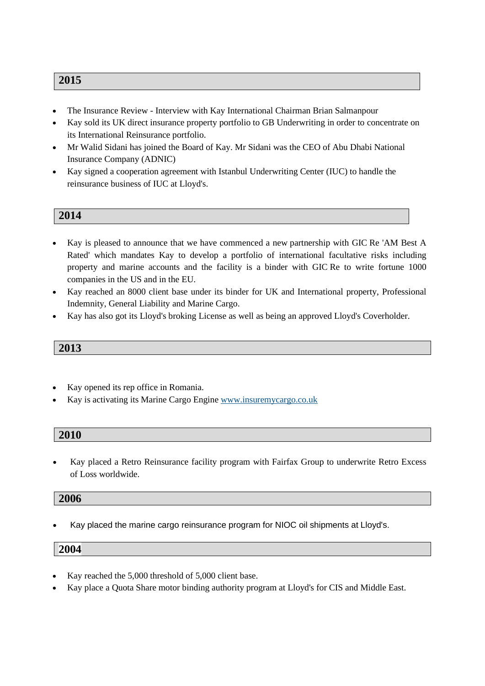## **2015**

- The Insurance Review Interview with Kay International Chairman Brian Salmanpour
- Kay sold its UK direct insurance property portfolio to GB Underwriting in order to concentrate on its International Reinsurance portfolio.
- Mr Walid Sidani has joined the Board of Kay. Mr Sidani was the CEO of Abu Dhabi National Insurance Company (ADNIC)
- Kay signed a cooperation agreement with Istanbul Underwriting Center (IUC) to handle the reinsurance business of IUC at Lloyd's.

#### **2014**

- Kay is pleased to announce that we have commenced a new partnership with GIC Re 'AM Best A Rated' which mandates Kay to develop a portfolio of international facultative risks including property and marine accounts and the facility is a binder with GIC Re to write fortune 1000 companies in the US and in the EU.
- Kay reached an 8000 client base under its binder for UK and International property, Professional Indemnity, General Liability and Marine Cargo.
- Kay has also got its Lloyd's broking License as well as being an approved Lloyd's Coverholder.

## **2013**

- Kay opened its rep office in Romania.
- Kay is activating its Marine Cargo Engine [www.insuremycargo.co.uk](http://www.insuremycargo.co.uk/)

#### **2010**

• Kay placed a Retro Reinsurance facility program with Fairfax Group to underwrite Retro Excess of Loss worldwide.

#### **2006**

• Kay placed the marine cargo reinsurance program for NIOC oil shipments at Lloyd's.

#### **2004**

- Kay reached the 5,000 threshold of 5,000 client base.
- Kay place a Quota Share motor binding authority program at Lloyd's for CIS and Middle East.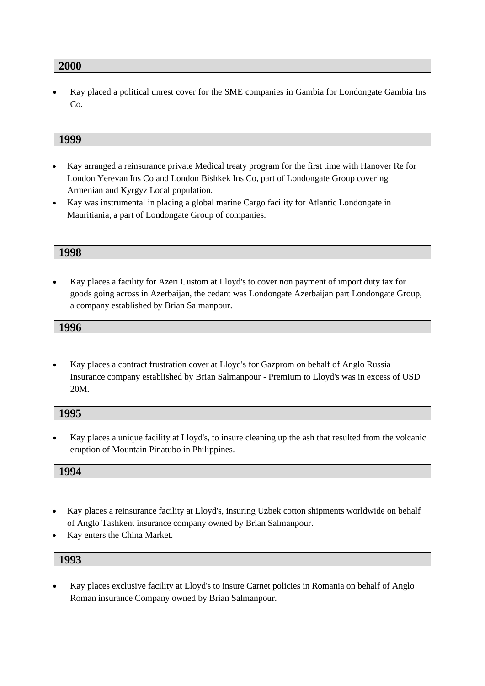#### **2000**

• Kay placed a political unrest cover for the SME companies in Gambia for Londongate Gambia Ins Co.

#### **1999**

- Kay arranged a reinsurance private Medical treaty program for the first time with Hanover Re for London Yerevan Ins Co and London Bishkek Ins Co, part of Londongate Group covering Armenian and Kyrgyz Local population.
- Kay was instrumental in placing a global marine Cargo facility for Atlantic Londongate in Mauritiania, a part of Londongate Group of companies.

#### **1998**

• Kay places a facility for Azeri Custom at Lloyd's to cover non payment of import duty tax for goods going across in Azerbaijan, the cedant was Londongate Azerbaijan part Londongate Group, a company established by Brian Salmanpour.

#### **1996**

• Kay places a contract frustration cover at Lloyd's for Gazprom on behalf of Anglo Russia Insurance company established by Brian Salmanpour - Premium to Lloyd's was in excess of USD 20M.

| 1995 |  |  |
|------|--|--|
|      |  |  |

• Kay places a unique facility at Lloyd's, to insure cleaning up the ash that resulted from the volcanic eruption of Mountain Pinatubo in Philippines.

**1994**

- Kay places a reinsurance facility at Lloyd's, insuring Uzbek cotton shipments worldwide on behalf of Anglo Tashkent insurance company owned by Brian Salmanpour.
- Kay enters the China Market.

## **1993**

• Kay places exclusive facility at Lloyd's to insure Carnet policies in Romania on behalf of Anglo Roman insurance Company owned by Brian Salmanpour.